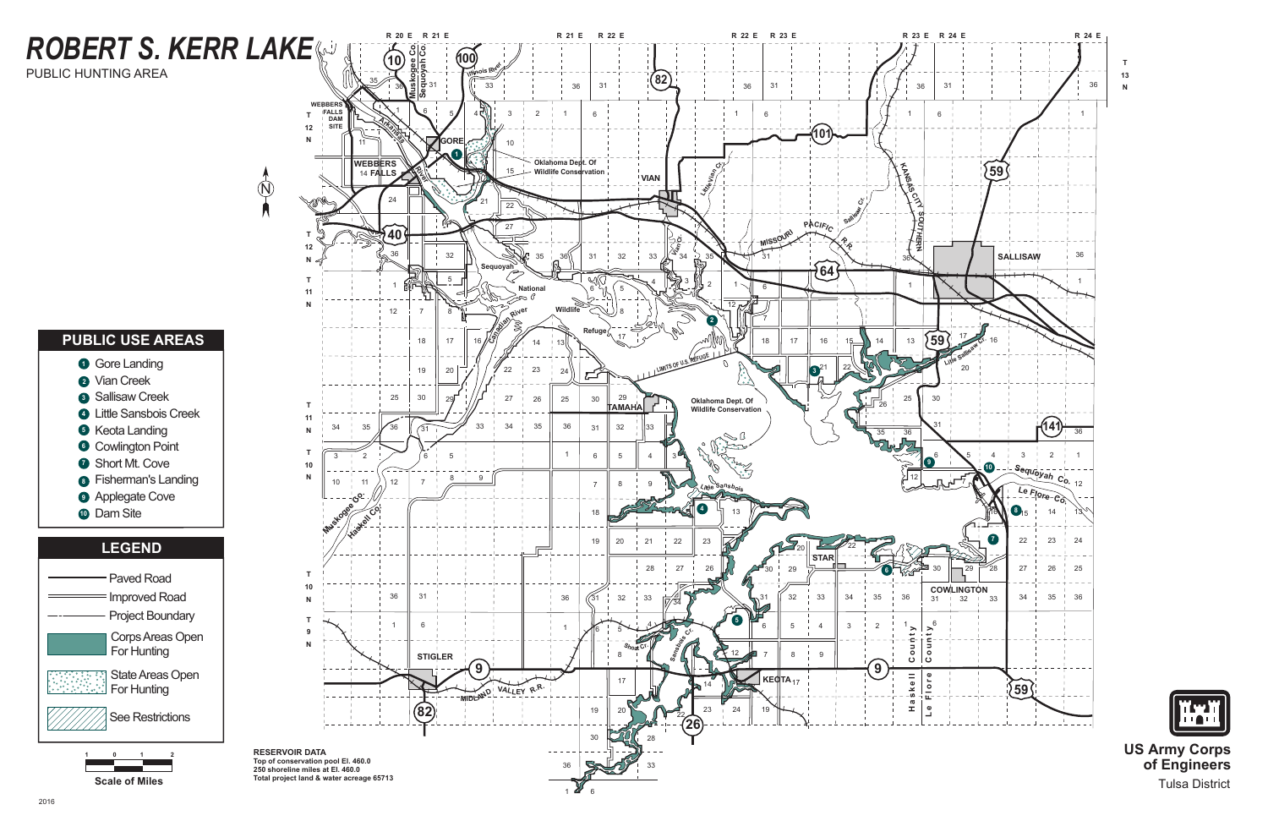# **ROBERT S. KERR LAKE**

PUBLIC HUNTING AREA

#### **PUBLIC USE AREAS**













**US Army Corps** of Engineers **Tulsa District**